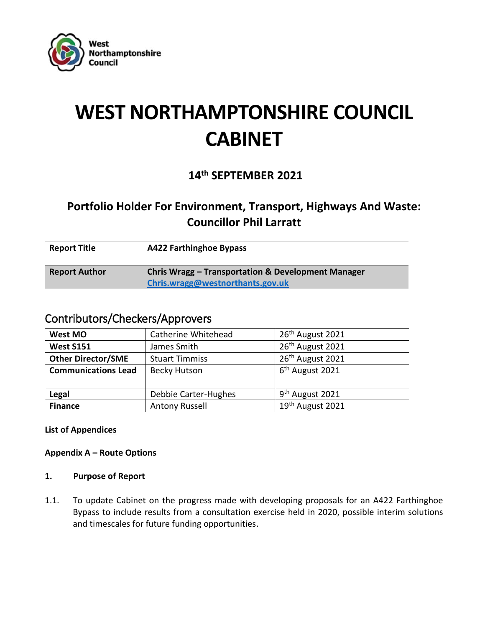

# **WEST NORTHAMPTONSHIRE COUNCIL CABINET**

## **14th SEPTEMBER 2021**

# **Portfolio Holder For Environment, Transport, Highways And Waste: Councillor Phil Larratt**

| <b>Report Title</b>  | <b>A422 Farthinghoe Bypass</b>                                                         |
|----------------------|----------------------------------------------------------------------------------------|
| <b>Report Author</b> | Chris Wragg – Transportation & Development Manager<br>Chris.wragg@westnorthants.gov.uk |

### Contributors/Checkers/Approvers

| West MO                    | Catherine Whitehead                       | 26 <sup>th</sup> August 2021 |  |  |
|----------------------------|-------------------------------------------|------------------------------|--|--|
| <b>West S151</b>           | James Smith                               | 26 <sup>th</sup> August 2021 |  |  |
| <b>Other Director/SME</b>  | <b>Stuart Timmiss</b>                     | 26 <sup>th</sup> August 2021 |  |  |
| <b>Communications Lead</b> | <b>Becky Hutson</b>                       | 6 <sup>th</sup> August 2021  |  |  |
|                            |                                           | 9 <sup>th</sup> August 2021  |  |  |
| Legal                      | Debbie Carter-Hughes                      |                              |  |  |
| <b>Finance</b>             | 19th August 2021<br><b>Antony Russell</b> |                              |  |  |

**List of Appendices**

**Appendix A – Route Options**

#### **1. Purpose of Report**

1.1. To update Cabinet on the progress made with developing proposals for an A422 Farthinghoe Bypass to include results from a consultation exercise held in 2020, possible interim solutions and timescales for future funding opportunities.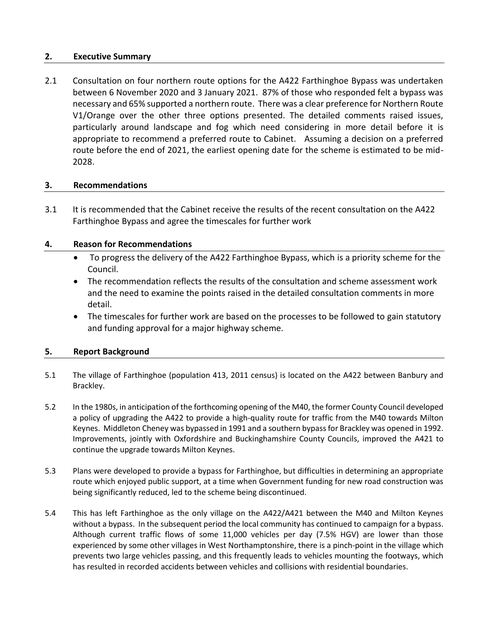#### **2. Executive Summary**

2.1 Consultation on four northern route options for the A422 Farthinghoe Bypass was undertaken between 6 November 2020 and 3 January 2021. 87% of those who responded felt a bypass was necessary and 65% supported a northern route. There was a clear preference for Northern Route V1/Orange over the other three options presented. The detailed comments raised issues, particularly around landscape and fog which need considering in more detail before it is appropriate to recommend a preferred route to Cabinet. Assuming a decision on a preferred route before the end of 2021, the earliest opening date for the scheme is estimated to be mid-2028.

#### **3. Recommendations**

3.1 It is recommended that the Cabinet receive the results of the recent consultation on the A422 Farthinghoe Bypass and agree the timescales for further work

#### **4. Reason for Recommendations**

- To progress the delivery of the A422 Farthinghoe Bypass, which is a priority scheme for the Council.
- The recommendation reflects the results of the consultation and scheme assessment work and the need to examine the points raised in the detailed consultation comments in more detail.
- The timescales for further work are based on the processes to be followed to gain statutory and funding approval for a major highway scheme.

#### **5. Report Background**

- 5.1 The village of Farthinghoe (population 413, 2011 census) is located on the A422 between Banbury and Brackley.
- 5.2 In the 1980s, in anticipation of the forthcoming opening of the M40, the former County Council developed a policy of upgrading the A422 to provide a high-quality route for traffic from the M40 towards Milton Keynes. Middleton Cheney was bypassed in 1991 and a southern bypass for Brackley was opened in 1992. Improvements, jointly with Oxfordshire and Buckinghamshire County Councils, improved the A421 to continue the upgrade towards Milton Keynes.
- 5.3 Plans were developed to provide a bypass for Farthinghoe, but difficulties in determining an appropriate route which enjoyed public support, at a time when Government funding for new road construction was being significantly reduced, led to the scheme being discontinued.
- 5.4 This has left Farthinghoe as the only village on the A422/A421 between the M40 and Milton Keynes without a bypass. In the subsequent period the local community has continued to campaign for a bypass. Although current traffic flows of some 11,000 vehicles per day (7.5% HGV) are lower than those experienced by some other villages in West Northamptonshire, there is a pinch-point in the village which prevents two large vehicles passing, and this frequently leads to vehicles mounting the footways, which has resulted in recorded accidents between vehicles and collisions with residential boundaries.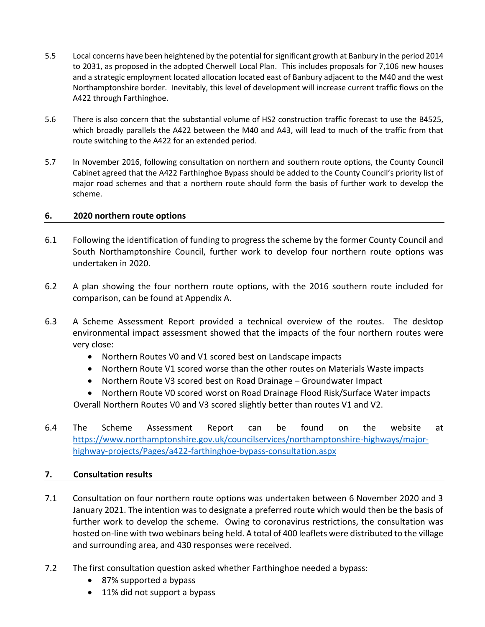- 5.5 Local concerns have been heightened by the potential for significant growth at Banbury in the period 2014 to 2031, as proposed in the adopted Cherwell Local Plan. This includes proposals for 7,106 new houses and a strategic employment located allocation located east of Banbury adjacent to the M40 and the west Northamptonshire border. Inevitably, this level of development will increase current traffic flows on the A422 through Farthinghoe.
- 5.6 There is also concern that the substantial volume of HS2 construction traffic forecast to use the B4525, which broadly parallels the A422 between the M40 and A43, will lead to much of the traffic from that route switching to the A422 for an extended period.
- 5.7 In November 2016, following consultation on northern and southern route options, the County Council Cabinet agreed that the A422 Farthinghoe Bypass should be added to the County Council's priority list of major road schemes and that a northern route should form the basis of further work to develop the scheme.

#### **6. 2020 northern route options**

- 6.1 Following the identification of funding to progress the scheme by the former County Council and South Northamptonshire Council, further work to develop four northern route options was undertaken in 2020.
- 6.2 A plan showing the four northern route options, with the 2016 southern route included for comparison, can be found at Appendix A.
- 6.3 A Scheme Assessment Report provided a technical overview of the routes. The desktop environmental impact assessment showed that the impacts of the four northern routes were very close:
	- Northern Routes V0 and V1 scored best on Landscape impacts
	- Northern Route V1 scored worse than the other routes on Materials Waste impacts
	- Northern Route V3 scored best on Road Drainage Groundwater Impact
	- Northern Route V0 scored worst on Road Drainage Flood Risk/Surface Water impacts Overall Northern Routes V0 and V3 scored slightly better than routes V1 and V2.
- 6.4 The Scheme Assessment Report can be found on the website at [https://www.northamptonshire.gov.uk/councilservices/northamptonshire-highways/major](https://www.northamptonshire.gov.uk/councilservices/northamptonshire-highways/major-highway-projects/Pages/a422-farthinghoe-bypass-consultation.aspx)[highway-projects/Pages/a422-farthinghoe-bypass-consultation.aspx](https://www.northamptonshire.gov.uk/councilservices/northamptonshire-highways/major-highway-projects/Pages/a422-farthinghoe-bypass-consultation.aspx)

#### **7. Consultation results**

- 7.1 Consultation on four northern route options was undertaken between 6 November 2020 and 3 January 2021. The intention was to designate a preferred route which would then be the basis of further work to develop the scheme. Owing to coronavirus restrictions, the consultation was hosted on-line with two webinars being held. A total of 400 leaflets were distributed to the village and surrounding area, and 430 responses were received.
- 7.2 The first consultation question asked whether Farthinghoe needed a bypass:
	- 87% supported a bypass
	- 11% did not support a bypass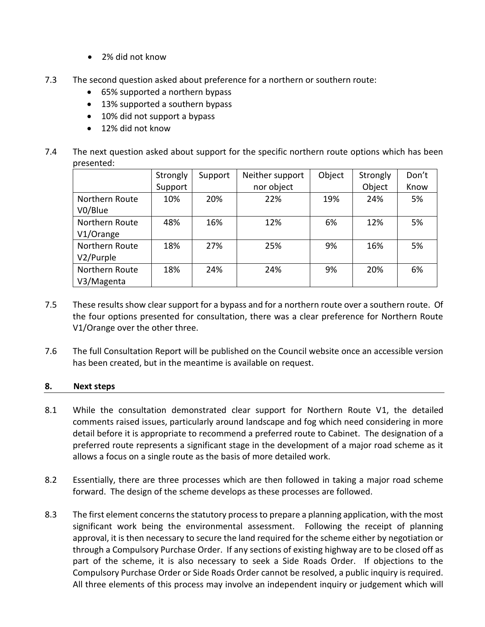- 2% did not know
- 7.3 The second question asked about preference for a northern or southern route:
	- 65% supported a northern bypass
	- 13% supported a southern bypass
	- 10% did not support a bypass
	- 12% did not know
- 7.4 The next question asked about support for the specific northern route options which has been presented:

|                              | Strongly | Support | Neither support | Object | Strongly | Don't |
|------------------------------|----------|---------|-----------------|--------|----------|-------|
|                              | Support  |         | nor object      |        | Object   | Know  |
| Northern Route<br>V0/Blue    | 10%      | 20%     | 22%             | 19%    | 24%      | 5%    |
| Northern Route<br>V1/Orange  | 48%      | 16%     | 12%             | 6%     | 12%      | 5%    |
| Northern Route<br>V2/Purple  | 18%      | 27%     | 25%             | 9%     | 16%      | 5%    |
| Northern Route<br>V3/Magenta | 18%      | 24%     | 24%             | 9%     | 20%      | 6%    |

- 7.5 These results show clear support for a bypass and for a northern route over a southern route. Of the four options presented for consultation, there was a clear preference for Northern Route V1/Orange over the other three.
- 7.6 The full Consultation Report will be published on the Council website once an accessible version has been created, but in the meantime is available on request.

#### **8. Next steps**

- 8.1 While the consultation demonstrated clear support for Northern Route V1, the detailed comments raised issues, particularly around landscape and fog which need considering in more detail before it is appropriate to recommend a preferred route to Cabinet. The designation of a preferred route represents a significant stage in the development of a major road scheme as it allows a focus on a single route as the basis of more detailed work.
- 8.2 Essentially, there are three processes which are then followed in taking a major road scheme forward. The design of the scheme develops as these processes are followed.
- 8.3 The first element concerns the statutory process to prepare a planning application, with the most significant work being the environmental assessment. Following the receipt of planning approval, it is then necessary to secure the land required for the scheme either by negotiation or through a Compulsory Purchase Order. If any sections of existing highway are to be closed off as part of the scheme, it is also necessary to seek a Side Roads Order. If objections to the Compulsory Purchase Order or Side Roads Order cannot be resolved, a public inquiry is required. All three elements of this process may involve an independent inquiry or judgement which will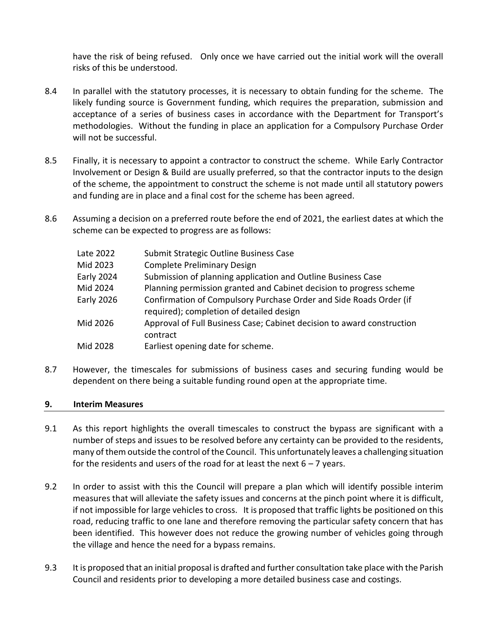have the risk of being refused. Only once we have carried out the initial work will the overall risks of this be understood.

- 8.4 In parallel with the statutory processes, it is necessary to obtain funding for the scheme. The likely funding source is Government funding, which requires the preparation, submission and acceptance of a series of business cases in accordance with the Department for Transport's methodologies. Without the funding in place an application for a Compulsory Purchase Order will not be successful.
- 8.5 Finally, it is necessary to appoint a contractor to construct the scheme. While Early Contractor Involvement or Design & Build are usually preferred, so that the contractor inputs to the design of the scheme, the appointment to construct the scheme is not made until all statutory powers and funding are in place and a final cost for the scheme has been agreed.
- 8.6 Assuming a decision on a preferred route before the end of 2021, the earliest dates at which the scheme can be expected to progress are as follows:

| Late 2022         | Submit Strategic Outline Business Case                                                                         |
|-------------------|----------------------------------------------------------------------------------------------------------------|
| Mid 2023          | <b>Complete Preliminary Design</b>                                                                             |
| Early 2024        | Submission of planning application and Outline Business Case                                                   |
| Mid 2024          | Planning permission granted and Cabinet decision to progress scheme                                            |
| <b>Early 2026</b> | Confirmation of Compulsory Purchase Order and Side Roads Order (if<br>required); completion of detailed design |
| Mid 2026          | Approval of Full Business Case; Cabinet decision to award construction<br>contract                             |
| Mid 2028          | Earliest opening date for scheme.                                                                              |
|                   |                                                                                                                |

8.7 However, the timescales for submissions of business cases and securing funding would be dependent on there being a suitable funding round open at the appropriate time.

#### **9. Interim Measures**

- 9.1 As this report highlights the overall timescales to construct the bypass are significant with a number of steps and issues to be resolved before any certainty can be provided to the residents, many of them outside the control of the Council. This unfortunately leaves a challenging situation for the residents and users of the road for at least the next  $6 - 7$  years.
- 9.2 In order to assist with this the Council will prepare a plan which will identify possible interim measures that will alleviate the safety issues and concerns at the pinch point where it is difficult, if not impossible for large vehicles to cross. It is proposed that traffic lights be positioned on this road, reducing traffic to one lane and therefore removing the particular safety concern that has been identified. This however does not reduce the growing number of vehicles going through the village and hence the need for a bypass remains.
- 9.3 It is proposed that an initial proposal is drafted and further consultation take place with the Parish Council and residents prior to developing a more detailed business case and costings.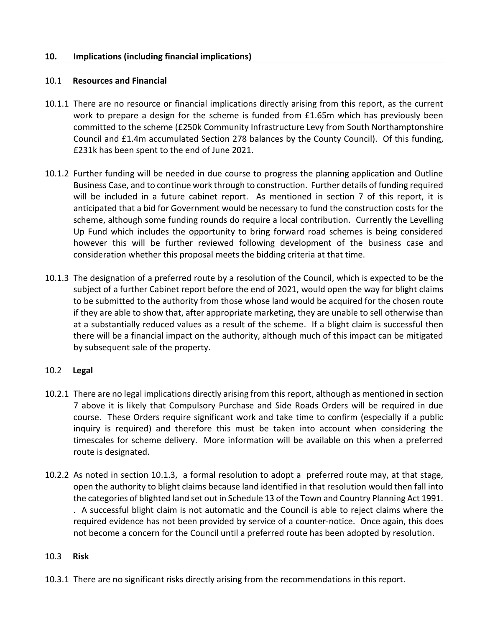#### **10. Implications (including financial implications)**

#### 10.1 **Resources and Financial**

- 10.1.1 There are no resource or financial implications directly arising from this report, as the current work to prepare a design for the scheme is funded from £1.65m which has previously been committed to the scheme (£250k Community Infrastructure Levy from South Northamptonshire Council and £1.4m accumulated Section 278 balances by the County Council). Of this funding, £231k has been spent to the end of June 2021.
- 10.1.2 Further funding will be needed in due course to progress the planning application and Outline Business Case, and to continue work through to construction. Further details of funding required will be included in a future cabinet report. As mentioned in section 7 of this report, it is anticipated that a bid for Government would be necessary to fund the construction costs for the scheme, although some funding rounds do require a local contribution. Currently the Levelling Up Fund which includes the opportunity to bring forward road schemes is being considered however this will be further reviewed following development of the business case and consideration whether this proposal meets the bidding criteria at that time.
- 10.1.3 The designation of a preferred route by a resolution of the Council, which is expected to be the subject of a further Cabinet report before the end of 2021, would open the way for blight claims to be submitted to the authority from those whose land would be acquired for the chosen route if they are able to show that, after appropriate marketing, they are unable to sell otherwise than at a substantially reduced values as a result of the scheme. If a blight claim is successful then there will be a financial impact on the authority, although much of this impact can be mitigated by subsequent sale of the property.

#### 10.2 **Legal**

- 10.2.1 There are no legal implications directly arising from this report, although as mentioned in section 7 above it is likely that Compulsory Purchase and Side Roads Orders will be required in due course. These Orders require significant work and take time to confirm (especially if a public inquiry is required) and therefore this must be taken into account when considering the timescales for scheme delivery. More information will be available on this when a preferred route is designated.
- 10.2.2 As noted in section 10.1.3, a formal resolution to adopt a preferred route may, at that stage, open the authority to blight claims because land identified in that resolution would then fall into the categories of blighted land set out in Schedule 13 of the Town and Country Planning Act 1991. . A successful blight claim is not automatic and the Council is able to reject claims where the required evidence has not been provided by service of a counter-notice. Once again, this does not become a concern for the Council until a preferred route has been adopted by resolution.

#### 10.3 **Risk**

10.3.1 There are no significant risks directly arising from the recommendations in this report.